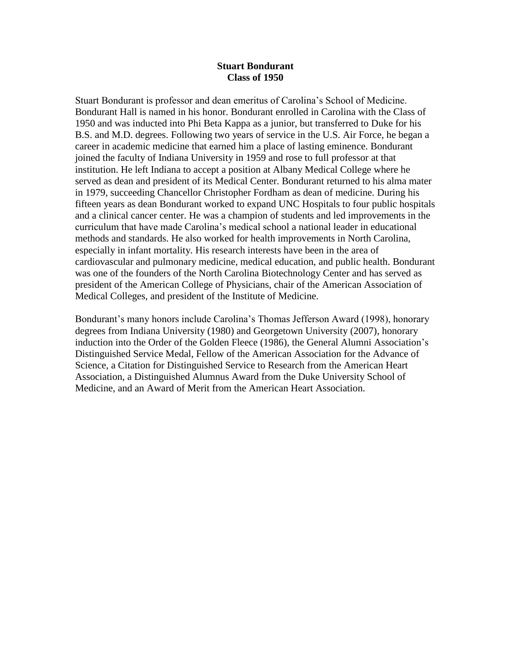## **Stuart Bondurant Class of 1950**

Stuart Bondurant is professor and dean emeritus of Carolina's School of Medicine. Bondurant Hall is named in his honor. Bondurant enrolled in Carolina with the Class of 1950 and was inducted into Phi Beta Kappa as a junior, but transferred to Duke for his B.S. and M.D. degrees. Following two years of service in the U.S. Air Force, he began a career in academic medicine that earned him a place of lasting eminence. Bondurant joined the faculty of Indiana University in 1959 and rose to full professor at that institution. He left Indiana to accept a position at Albany Medical College where he served as dean and president of its Medical Center. Bondurant returned to his alma mater in 1979, succeeding Chancellor Christopher Fordham as dean of medicine. During his fifteen years as dean Bondurant worked to expand UNC Hospitals to four public hospitals and a clinical cancer center. He was a champion of students and led improvements in the curriculum that have made Carolina's medical school a national leader in educational methods and standards. He also worked for health improvements in North Carolina, especially in infant mortality. His research interests have been in the area of cardiovascular and pulmonary medicine, medical education, and public health. Bondurant was one of the founders of the North Carolina Biotechnology Center and has served as president of the American College of Physicians, chair of the American Association of Medical Colleges, and president of the Institute of Medicine.

Bondurant's many honors include Carolina's Thomas Jefferson Award (1998), honorary degrees from Indiana University (1980) and Georgetown University (2007), honorary induction into the Order of the Golden Fleece (1986), the General Alumni Association's Distinguished Service Medal, Fellow of the American Association for the Advance of Science, a Citation for Distinguished Service to Research from the American Heart Association, a Distinguished Alumnus Award from the Duke University School of Medicine, and an Award of Merit from the American Heart Association.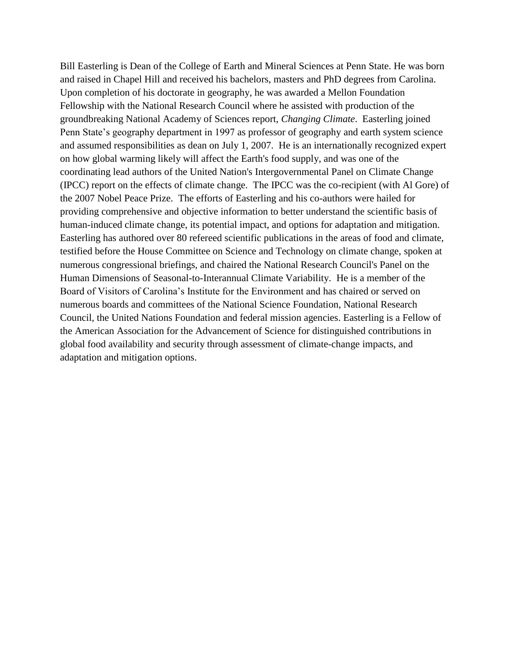Bill Easterling is Dean of the College of Earth and Mineral Sciences at Penn State. He was born and raised in Chapel Hill and received his bachelors, masters and PhD degrees from Carolina. Upon completion of his doctorate in geography, he was awarded a Mellon Foundation Fellowship with the National Research Council where he assisted with production of the groundbreaking National Academy of Sciences report, *Changing Climate*. Easterling joined Penn State's geography department in 1997 as professor of geography and earth system science and assumed responsibilities as dean on July 1, 2007. He is an internationally recognized expert on how global warming likely will affect the Earth's food supply, and was one of the coordinating lead authors of the United Nation's Intergovernmental Panel on Climate Change (IPCC) report on the effects of climate change. The IPCC was the co-recipient (with Al Gore) of the 2007 Nobel Peace Prize. The efforts of Easterling and his co-authors were hailed for providing comprehensive and objective information to better understand the scientific basis of human-induced climate change, its potential impact, and options for adaptation and mitigation. Easterling has authored over 80 refereed scientific publications in the areas of food and climate, testified before the House Committee on Science and Technology on climate change, spoken at numerous congressional briefings, and chaired the National Research Council's Panel on the Human Dimensions of Seasonal-to-Interannual Climate Variability. He is a member of the Board of Visitors of Carolina's Institute for the Environment and has chaired or served on numerous boards and committees of the National Science Foundation, National Research Council, the United Nations Foundation and federal mission agencies. Easterling is a Fellow of the American Association for the Advancement of Science for distinguished contributions in global food availability and security through assessment of climate-change impacts, and adaptation and mitigation options.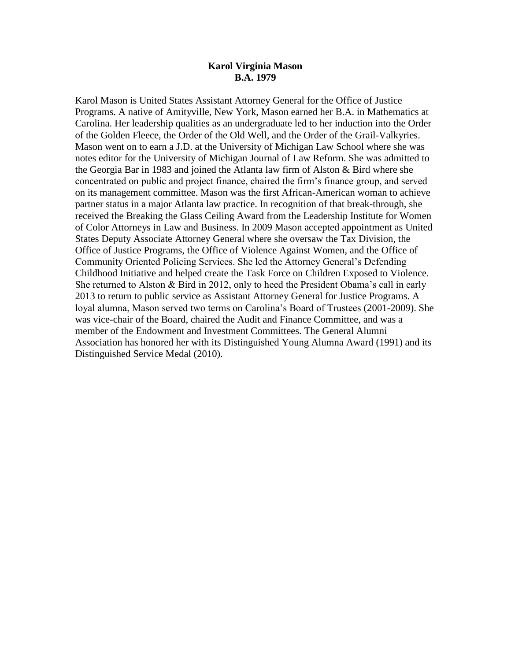## **Karol Virginia Mason B.A. 1979**

Karol Mason is United States Assistant Attorney General for the Office of Justice Programs. A native of Amityville, New York, Mason earned her B.A. in Mathematics at Carolina. Her leadership qualities as an undergraduate led to her induction into the Order of the Golden Fleece, the Order of the Old Well, and the Order of the Grail-Valkyries. Mason went on to earn a J.D. at the University of Michigan Law School where she was notes editor for the University of Michigan Journal of Law Reform. She was admitted to the Georgia Bar in 1983 and joined the Atlanta law firm of Alston & Bird where she concentrated on public and project finance, chaired the firm's finance group, and served on its management committee. Mason was the first African-American woman to achieve partner status in a major Atlanta law practice. In recognition of that break-through, she received the Breaking the Glass Ceiling Award from the Leadership Institute for Women of Color Attorneys in Law and Business. In 2009 Mason accepted appointment as United States Deputy Associate Attorney General where she oversaw the Tax Division, the Office of Justice Programs, the Office of Violence Against Women, and the Office of Community Oriented Policing Services. She led the Attorney General's Defending Childhood Initiative and helped create the Task Force on Children Exposed to Violence. She returned to Alston & Bird in 2012, only to heed the President Obama's call in early 2013 to return to public service as Assistant Attorney General for Justice Programs. A loyal alumna, Mason served two terms on Carolina's Board of Trustees (2001-2009). She was vice-chair of the Board, chaired the Audit and Finance Committee, and was a member of the Endowment and Investment Committees. The General Alumni Association has honored her with its Distinguished Young Alumna Award (1991) and its Distinguished Service Medal (2010).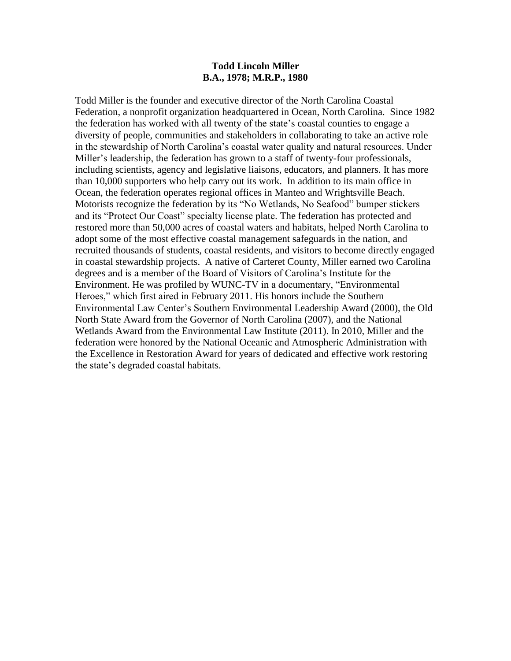## **Todd Lincoln Miller B.A., 1978; M.R.P., 1980**

Todd Miller is the founder and executive director of the North Carolina Coastal Federation, a nonprofit organization headquartered in Ocean, North Carolina. Since 1982 the federation has worked with all twenty of the state's coastal counties to engage a diversity of people, communities and stakeholders in collaborating to take an active role in the stewardship of North Carolina's coastal water quality and natural resources. Under Miller's leadership, the federation has grown to a staff of twenty-four professionals, including scientists, agency and legislative liaisons, educators, and planners. It has more than 10,000 supporters who help carry out its work. In addition to its main office in Ocean, the federation operates regional offices in Manteo and Wrightsville Beach. Motorists recognize the federation by its "No Wetlands, No Seafood" bumper stickers and its "Protect Our Coast" specialty license plate. The federation has protected and restored more than 50,000 acres of coastal waters and habitats, helped North Carolina to adopt some of the most effective coastal management safeguards in the nation, and recruited thousands of students, coastal residents, and visitors to become directly engaged in coastal stewardship projects. A native of Carteret County, Miller earned two Carolina degrees and is a member of the Board of Visitors of Carolina's Institute for the Environment. He was profiled by WUNC-TV in a documentary, "Environmental Heroes," which first aired in February 2011. His honors include the Southern Environmental Law Center's Southern Environmental Leadership Award (2000), the Old North State Award from the Governor of North Carolina (2007), and the National Wetlands Award from the Environmental Law Institute (2011). In 2010, Miller and the federation were honored by the National Oceanic and Atmospheric Administration with the Excellence in Restoration Award for years of dedicated and effective work restoring the state's degraded coastal habitats.